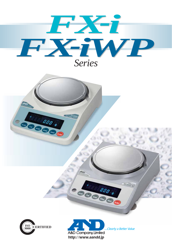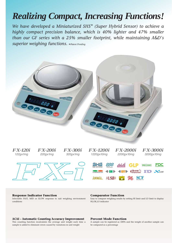# *Realizing Compact, Increasing Functions!*

*We have developed a Miniaturized SHS\* (Super Hybrid Sensor) to achieve a highly compact precision balance, which is 40% lighter and 47% smaller than our GF series with a 25% smaller footprint, while maintaining A&D's superior weighing functions. \*Patent Pending*





### **Response Indicator Function**

Selectable FAST, MID or SLOW response to suit weighing environment conditions

### **ACAI – Automatic Counting Accuracy Improvement**

This counting function recalculates the average unit weight each time a sample is added to eliminate errors caused by variations in unit weight

### **Comparator Function**

Easy to compare weighing results by setting HI limit and LO limit to display HI,OK,LO indicator

### **Percent Mode Function**

A sample can be registered as 100% and the weight of another sample can be compared as a percentage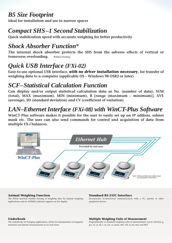## *B5 Size Footprint*

**Ideal for installation and use in narrow spaces**

# *Compact SHS–1 Second Stabilization*

**Quick stabilization speed with accurate weighing for better productivity**

# *Shock Absorber Function\**

**The internal shock absorber protects the SHS from the adverse effects of vertical or transverse overloading.** *\*Patent Pending*

# *Quick USB Interface (FXi-02)*

**Easy-to-use optional USB interface,** *with no driver installation necessary***, for transfer of weighing data to a computer (applicable OS – Windows 98 OSR2 or later)**

# *SCF–Statistical Calculation Function*

**Can display and/or output statistical calculation data as No. (number of data), SUM (total), MAX (maximum), MIN (minimum), R [range (maximum – minimum)], AVE (average), SD (standard deviation) and CV (coefficient of variation)**

# *LAN–Ethernet Interface (FXi-08) with WinCT-Plus Software*

**WinCT-Plus software makes it possible for the user to easily set up an IP address, subnet mask etc. The user can also send commands for control and acquisition of data from multiple FX-***i* **balances.**



## **Animal Weighing Function**

The HOLD function enables freezing of weighing data for animal weighing applications and an ANIMAL indicator appears on the display

### **Standard RS-232C Interface**

Incorporates bi-directional communication with a PC, printer or other peripheral devices

### **Underhook**

The underhook, for hanging applications, allows for measurement of magnetic materials and density measurements in air and water

### **Multiple Weighing Units of Measurement**

Programmable or standard weighing units of measurement can be selected; g, pcs, %, oz, lb, L oz, ozt, ct, mom, dwt, GN, tl, tol, mes and MLT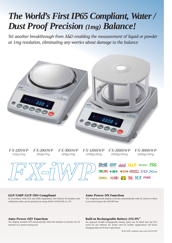# *The World's First IP65 Compliant, Water / Dust Proof Precision (1mg) Balance!*

*Yet another breakthrough from A&D enabling the measurement of liquid or powder at 1mg resolution, eliminating any worries about damage to the balance*



 $FX$ -120iWP  $FX$ -200iWP  $FX$ -300iWP  $FX$ -120<br>  $T22gx1mg$   $220gx1mg$   $320gx1mg$   $1220gx$ <br>  $T2Q$ *FX-300iWP FX-1200iWP FX-2000iWP FX-3000iWP FX-120iWP FX-200iWP 122gx1mg 220gx1mg 320gx1mg 1220gx10mg 2200gx10mg 3200gx10mg* SHIS 888 ACAI GLP RESERCT FOC

**GLP/GMP/GCP/ISO Compliant**

In accordance with GLP and LIMS regulations, the balance ID number and calibration data can be printed out using A&D's AD-8121B or a PC

### **Auto Power ON Function**

The weighing mode display activates automatically with AC power so there is no need to press the ON/OFF key

COMPARATOR **40ND** 40FFD CHUZZET<sup>1/2</sup> ID 361AN

ANIMAL *WUSBIN* **EXALLE SO SCF IPS5** 

### **Auto Power OFF Function**

The display switches OFF automatically when the balance is inactive for 10 minutes as a power-saving tool

### **Built-in Rechargeable Battery (FX***i***-09)**\*

An optional Ni-MH rechargeable battery pack can be fitted into the FX-i series for use without AC power and for mobile applications (10 hours charging time for 8 hours operation)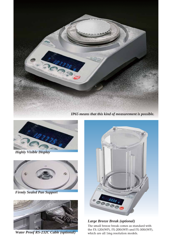

*IP65 means that this kind of measurement is possible.*



*Highly Visible Display*



*Firmly Sealed Pan Support*



*Water Proof RS-232C Cable (optional)*



*Large Breeze Break (optional)*

The small breeze break comes as standard with the FX-120*i*(WP), FX-200*i*(WP) and FX-300*i*(WP), which are all 1mg resolution models.